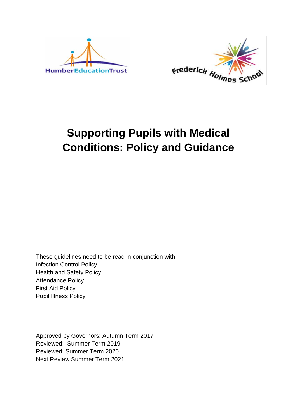



# **Supporting Pupils with Medical Conditions: Policy and Guidance**

These guidelines need to be read in conjunction with: Infection Control Policy Health and Safety Policy Attendance Policy First Aid Policy Pupil Illness Policy

Approved by Governors: Autumn Term 2017 Reviewed: Summer Term 2019 Reviewed: Summer Term 2020 Next Review Summer Term 2021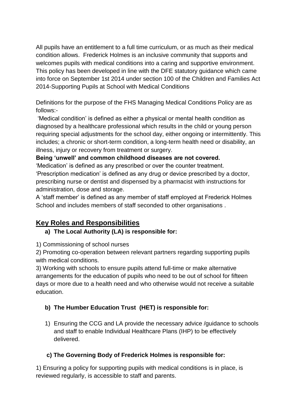All pupils have an entitlement to a full time curriculum, or as much as their medical condition allows. Frederick Holmes is an inclusive community that supports and welcomes pupils with medical conditions into a caring and supportive environment. This policy has been developed in line with the DFE statutory guidance which came into force on September 1st 2014 under section 100 of the Children and Families Act 2014-Supporting Pupils at School with Medical Conditions

Definitions for the purpose of the FHS Managing Medical Conditions Policy are as follows:-

'Medical condition' is defined as either a physical or mental health condition as diagnosed by a healthcare professional which results in the child or young person requiring special adjustments for the school day, either ongoing or intermittently. This includes; a chronic or short-term condition, a long-term health need or disability, an illness, injury or recovery from treatment or surgery.

#### **Being 'unwell' and common childhood diseases are not covered.**

'Medication' is defined as any prescribed or over the counter treatment. 'Prescription medication' is defined as any drug or device prescribed by a doctor, prescribing nurse or dentist and dispensed by a pharmacist with instructions for administration, dose and storage.

A 'staff member' is defined as any member of staff employed at Frederick Holmes School and includes members of staff seconded to other organisations .

## **Key Roles and Responsibilities**

## **a) The Local Authority (LA) is responsible for:**

1) Commissioning of school nurses

2) Promoting co-operation between relevant partners regarding supporting pupils with medical conditions.

3) Working with schools to ensure pupils attend full-time or make alternative arrangements for the education of pupils who need to be out of school for fifteen days or more due to a health need and who otherwise would not receive a suitable education.

## **b) The Humber Education Trust (HET) is responsible for:**

1) Ensuring the CCG and LA provide the necessary advice /guidance to schools and staff to enable Individual Healthcare Plans (IHP) to be effectively delivered.

## **c) The Governing Body of Frederick Holmes is responsible for:**

1) Ensuring a policy for supporting pupils with medical conditions is in place, is reviewed regularly, is accessible to staff and parents.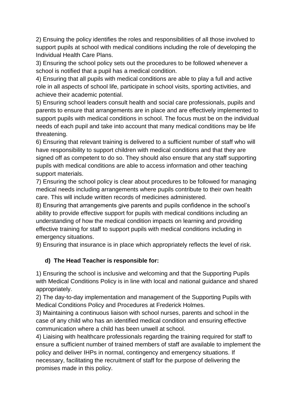2) Ensuing the policy identifies the roles and responsibilities of all those involved to support pupils at school with medical conditions including the role of developing the Individual Health Care Plans.

3) Ensuring the school policy sets out the procedures to be followed whenever a school is notified that a pupil has a medical condition.

4) Ensuring that all pupils with medical conditions are able to play a full and active role in all aspects of school life, participate in school visits, sporting activities, and achieve their academic potential.

5) Ensuring school leaders consult health and social care professionals, pupils and parents to ensure that arrangements are in place and are effectively implemented to support pupils with medical conditions in school. The focus must be on the individual needs of each pupil and take into account that many medical conditions may be life threatening.

6) Ensuring that relevant training is delivered to a sufficient number of staff who will have responsibility to support children with medical conditions and that they are signed off as competent to do so. They should also ensure that any staff supporting pupils with medical conditions are able to access information and other teaching support materials.

7) Ensuring the school policy is clear about procedures to be followed for managing medical needs including arrangements where pupils contribute to their own health care. This will include written records of medicines administered.

8) Ensuring that arrangements give parents and pupils confidence in the school's ability to provide effective support for pupils with medical conditions including an understanding of how the medical condition impacts on learning and providing effective training for staff to support pupils with medical conditions including in emergency situations.

9) Ensuring that insurance is in place which appropriately reflects the level of risk.

#### **d) The Head Teacher is responsible for:**

1) Ensuring the school is inclusive and welcoming and that the Supporting Pupils with Medical Conditions Policy is in line with local and national guidance and shared appropriately.

2) The day-to-day implementation and management of the Supporting Pupils with Medical Conditions Policy and Procedures at Frederick Holmes.

3) Maintaining a continuous liaison with school nurses, parents and school in the case of any child who has an identified medical condition and ensuring effective communication where a child has been unwell at school.

4) Liaising with healthcare professionals regarding the training required for staff to ensure a sufficient number of trained members of staff are available to implement the policy and deliver IHPs in normal, contingency and emergency situations. If necessary, facilitating the recruitment of staff for the purpose of delivering the promises made in this policy.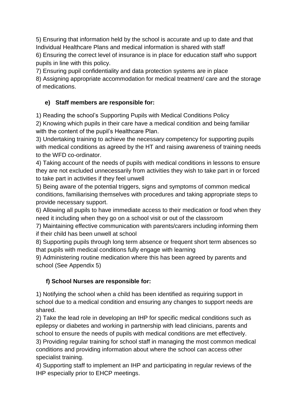5) Ensuring that information held by the school is accurate and up to date and that Individual Healthcare Plans and medical information is shared with staff

6) Ensuring the correct level of insurance is in place for education staff who support pupils in line with this policy.

7) Ensuring pupil confidentiality and data protection systems are in place

8) Assigning appropriate accommodation for medical treatment/ care and the storage of medications.

### **e) Staff members are responsible for:**

1) Reading the school's Supporting Pupils with Medical Conditions Policy

2) Knowing which pupils in their care have a medical condition and being familiar with the content of the pupil's Healthcare Plan.

3) Undertaking training to achieve the necessary competency for supporting pupils with medical conditions as agreed by the HT and raising awareness of training needs to the WFD co-ordinator.

4) Taking account of the needs of pupils with medical conditions in lessons to ensure they are not excluded unnecessarily from activities they wish to take part in or forced to take part in activities if they feel unwell

5) Being aware of the potential triggers, signs and symptoms of common medical conditions, familiarising themselves with procedures and taking appropriate steps to provide necessary support.

6) Allowing all pupils to have immediate access to their medication or food when they need it including when they go on a school visit or out of the classroom

7) Maintaining effective communication with parents/carers including informing them if their child has been unwell at school

8) Supporting pupils through long term absence or frequent short term absences so that pupils with medical conditions fully engage with learning

9) Administering routine medication where this has been agreed by parents and school (See Appendix 5)

#### **f) School Nurses are responsible for:**

1) Notifying the school when a child has been identified as requiring support in school due to a medical condition and ensuring any changes to support needs are shared.

2) Take the lead role in developing an IHP for specific medical conditions such as epilepsy or diabetes and working in partnership with lead clinicians, parents and school to ensure the needs of pupils with medical conditions are met effectively.

3) Providing regular training for school staff in managing the most common medical conditions and providing information about where the school can access other specialist training.

4) Supporting staff to implement an IHP and participating in regular reviews of the IHP especially prior to EHCP meetings.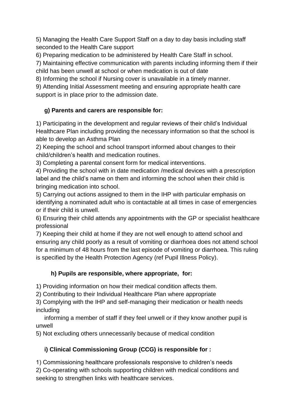5) Managing the Health Care Support Staff on a day to day basis including staff seconded to the Health Care support

6) Preparing medication to be administered by Health Care Staff in school.

7) Maintaining effective communication with parents including informing them if their child has been unwell at school or when medication is out of date

8) Informing the school if Nursing cover is unavailable in a timely manner.

9) Attending Initial Assessment meeting and ensuring appropriate health care support is in place prior to the admission date.

## **g) Parents and carers are responsible for:**

1) Participating in the development and regular reviews of their child's Individual Healthcare Plan including providing the necessary information so that the school is able to develop an Asthma Plan

2) Keeping the school and school transport informed about changes to their child/children's health and medication routines.

3) Completing a parental consent form for medical interventions.

4) Providing the school with in date medication /medical devices with a prescription label and the child's name on them and informing the school when their child is bringing medication into school.

5) Carrying out actions assigned to them in the IHP with particular emphasis on identifying a nominated adult who is contactable at all times in case of emergencies or if their child is unwell.

6) Ensuring their child attends any appointments with the GP or specialist healthcare professional

7) Keeping their child at home if they are not well enough to attend school and ensuring any child poorly as a result of vomiting or diarrhoea does not attend school for a minimum of 48 hours from the last episode of vomiting or diarrhoea. This ruling is specified by the Health Protection Agency (ref Pupil Illness Policy).

## **h) Pupils are responsible, where appropriate, for:**

1) Providing information on how their medical condition affects them.

2) Contributing to their Individual Healthcare Plan where appropriate

3) Complying with the IHP and self-managing their medication or health needs including

 informing a member of staff if they feel unwell or if they know another pupil is unwell

5) Not excluding others unnecessarily because of medical condition

## **i) Clinical Commissioning Group (CCG) is responsible for :**

1) Commissioning healthcare professionals responsive to children's needs 2) Co-operating with schools supporting children with medical conditions and seeking to strengthen links with healthcare services.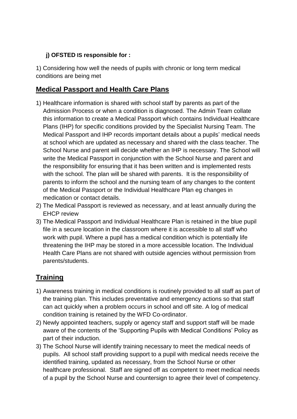#### **j) OFSTED IS responsible for :**

1) Considering how well the needs of pupils with chronic or long term medical conditions are being met

## **Medical Passport and Health Care Plans**

- 1) Healthcare information is shared with school staff by parents as part of the Admission Process or when a condition is diagnosed. The Admin Team collate this information to create a Medical Passport which contains Individual Healthcare Plans (IHP) for specific conditions provided by the Specialist Nursing Team. The Medical Passport and IHP records important details about a pupils' medical needs at school which are updated as necessary and shared with the class teacher. The School Nurse and parent will decide whether an IHP is necessary. The School will write the Medical Passport in conjunction with the School Nurse and parent and the responsibility for ensuring that it has been written and is implemented rests with the school. The plan will be shared with parents. It is the responsibility of parents to inform the school and the nursing team of any changes to the content of the Medical Passport or the Individual Healthcare Plan eg changes in medication or contact details.
- 2) The Medical Passport is reviewed as necessary, and at least annually during the EHCP review
- 3) The Medical Passport and Individual Healthcare Plan is retained in the blue pupil file in a secure location in the classroom where it is accessible to all staff who work with pupil. Where a pupil has a medical condition which is potentially life threatening the IHP may be stored in a more accessible location. The Individual Health Care Plans are not shared with outside agencies without permission from parents/students.

## **Training**

- 1) Awareness training in medical conditions is routinely provided to all staff as part of the training plan. This includes preventative and emergency actions so that staff can act quickly when a problem occurs in school and off site. A log of medical condition training is retained by the WFD Co-ordinator.
- 2) Newly appointed teachers, supply or agency staff and support staff will be made aware of the contents of the 'Supporting Pupils with Medical Conditions' Policy as part of their induction.
- 3) The School Nurse will identify training necessary to meet the medical needs of pupils. All school staff providing support to a pupil with medical needs receive the identified training, updated as necessary, from the School Nurse or other healthcare professional. Staff are signed off as competent to meet medical needs of a pupil by the School Nurse and countersign to agree their level of competency.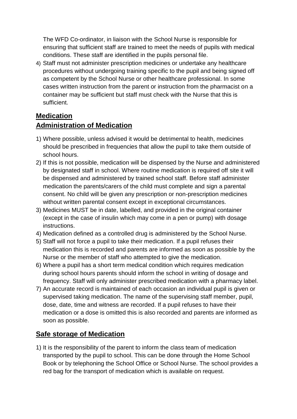The WFD Co-ordinator, in liaison with the School Nurse is responsible for ensuring that sufficient staff are trained to meet the needs of pupils with medical conditions. These staff are identified in the pupils personal file.

4) Staff must not administer prescription medicines or undertake any healthcare procedures without undergoing training specific to the pupil and being signed off as competent by the School Nurse or other healthcare professional. In some cases written instruction from the parent or instruction from the pharmacist on a container may be sufficient but staff must check with the Nurse that this is sufficient.

## **Medication**

## **Administration of Medication**

- 1) Where possible, unless advised it would be detrimental to health, medicines should be prescribed in frequencies that allow the pupil to take them outside of school hours.
- 2) If this is not possible, medication will be dispensed by the Nurse and administered by designated staff in school. Where routine medication is required off site it will be dispensed and administered by trained school staff. Before staff administer medication the parents/carers of the child must complete and sign a parental consent. No child will be given any prescription or non-prescription medicines without written parental consent except in exceptional circumstances.
- 3) Medicines MUST be in date, labelled, and provided in the original container (except in the case of insulin which may come in a pen or pump) with dosage instructions.
- 4) Medication defined as a controlled drug is administered by the School Nurse.
- 5) Staff will not force a pupil to take their medication. If a pupil refuses their medication this is recorded and parents are informed as soon as possible by the Nurse or the member of staff who attempted to give the medication.
- 6) Where a pupil has a short term medical condition which requires medication during school hours parents should inform the school in writing of dosage and frequency. Staff will only administer prescribed medication with a pharmacy label.
- 7) An accurate record is maintained of each occasion an individual pupil is given or supervised taking medication. The name of the supervising staff member, pupil, dose, date, time and witness are recorded. If a pupil refuses to have their medication or a dose is omitted this is also recorded and parents are informed as soon as possible.

## **Safe storage of Medication**

1) It is the responsibility of the parent to inform the class team of medication transported by the pupil to school. This can be done through the Home School Book or by telephoning the School Office or School Nurse. The school provides a red bag for the transport of medication which is available on request.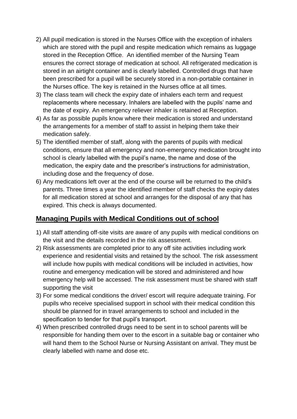- 2) All pupil medication is stored in the Nurses Office with the exception of inhalers which are stored with the pupil and respite medication which remains as luggage stored in the Reception Office. An identified member of the Nursing Team ensures the correct storage of medication at school. All refrigerated medication is stored in an airtight container and is clearly labelled. Controlled drugs that have been prescribed for a pupil will be securely stored in a non-portable container in the Nurses office. The key is retained in the Nurses office at all times.
- 3) The class team will check the expiry date of inhalers each term and request replacements where necessary. Inhalers are labelled with the pupils' name and the date of expiry. An emergency reliever inhaler is retained at Reception.
- 4) As far as possible pupils know where their medication is stored and understand the arrangements for a member of staff to assist in helping them take their medication safely.
- 5) The identified member of staff, along with the parents of pupils with medical conditions, ensure that all emergency and non-emergency medication brought into school is clearly labelled with the pupil's name, the name and dose of the medication, the expiry date and the prescriber's instructions for administration, including dose and the frequency of dose.
- 6) Any medications left over at the end of the course will be returned to the child's parents. Three times a year the identified member of staff checks the expiry dates for all medication stored at school and arranges for the disposal of any that has expired. This check is always documented.

## **Managing Pupils with Medical Conditions out of school**

- 1) All staff attending off-site visits are aware of any pupils with medical conditions on the visit and the details recorded in the risk assessment.
- 2) Risk assessments are completed prior to any off site activities including work experience and residential visits and retained by the school. The risk assessment will include how pupils with medical conditions will be included in activities, how routine and emergency medication will be stored and administered and how emergency help will be accessed. The risk assessment must be shared with staff supporting the visit
- 3) For some medical conditions the driver/ escort will require adequate training. For pupils who receive specialised support in school with their medical condition this should be planned for in travel arrangements to school and included in the specification to tender for that pupil's transport.
- 4) When prescribed controlled drugs need to be sent in to school parents will be responsible for handing them over to the escort in a suitable bag or container who will hand them to the School Nurse or Nursing Assistant on arrival. They must be clearly labelled with name and dose etc.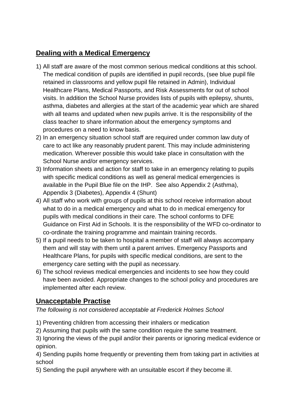## **Dealing with a Medical Emergency**

- 1) All staff are aware of the most common serious medical conditions at this school. The medical condition of pupils are identified in pupil records, (see blue pupil file retained in classrooms and yellow pupil file retained in Admin), Individual Healthcare Plans, Medical Passports, and Risk Assessments for out of school visits. In addition the School Nurse provides lists of pupils with epilepsy, shunts, asthma, diabetes and allergies at the start of the academic year which are shared with all teams and updated when new pupils arrive. It is the responsibility of the class teacher to share information about the emergency symptoms and procedures on a need to know basis.
- 2) In an emergency situation school staff are required under common law duty of care to act like any reasonably prudent parent. This may include administering medication. Wherever possible this would take place in consultation with the School Nurse and/or emergency services.
- 3) Information sheets and action for staff to take in an emergency relating to pupils with specific medical conditions as well as general medical emergencies is available in the Pupil Blue file on the IHP. See also Appendix 2 (Asthma), Appendix 3 (Diabetes), Appendix 4 (Shunt)
- 4) All staff who work with groups of pupils at this school receive information about what to do in a medical emergency and what to do in medical emergency for pupils with medical conditions in their care. The school conforms to DFE Guidance on First Aid in Schools. It is the responsibility of the WFD co-ordinator to co-ordinate the training programme and maintain training records.
- 5) If a pupil needs to be taken to hospital a member of staff will always accompany them and will stay with them until a parent arrives. Emergency Passports and Healthcare Plans, for pupils with specific medical conditions, are sent to the emergency care setting with the pupil as necessary.
- 6) The school reviews medical emergencies and incidents to see how they could have been avoided. Appropriate changes to the school policy and procedures are implemented after each review.

## **Unacceptable Practise**

#### *The following is not considered acceptable at Frederick Holmes School*

- 1) Preventing children from accessing their inhalers or medication
- 2) Assuming that pupils with the same condition require the same treatment.
- 3) Ignoring the views of the pupil and/or their parents or ignoring medical evidence or opinion.

4) Sending pupils home frequently or preventing them from taking part in activities at school

5) Sending the pupil anywhere with an unsuitable escort if they become ill.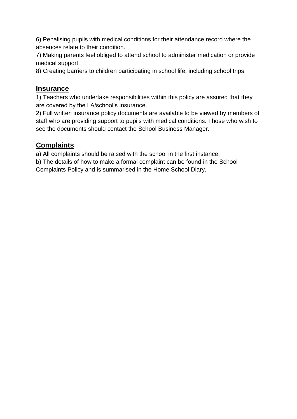6) Penalising pupils with medical conditions for their attendance record where the absences relate to their condition.

7) Making parents feel obliged to attend school to administer medication or provide medical support.

8) Creating barriers to children participating in school life, including school trips.

## **Insurance**

1) Teachers who undertake responsibilities within this policy are assured that they are covered by the LA/school's insurance.

2) Full written insurance policy documents are available to be viewed by members of staff who are providing support to pupils with medical conditions. Those who wish to see the documents should contact the School Business Manager.

## **Complaints**

a) All complaints should be raised with the school in the first instance.

b) The details of how to make a formal complaint can be found in the School Complaints Policy and is summarised in the Home School Diary.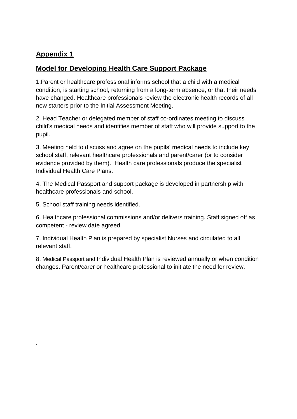## **Appendix 1**

.

## **Model for Developing Health Care Support Package**

1.Parent or healthcare professional informs school that a child with a medical condition, is starting school, returning from a long-term absence, or that their needs have changed. Healthcare professionals review the electronic health records of all new starters prior to the Initial Assessment Meeting.

2. Head Teacher or delegated member of staff co-ordinates meeting to discuss child's medical needs and identifies member of staff who will provide support to the pupil.

3. Meeting held to discuss and agree on the pupils' medical needs to include key school staff, relevant healthcare professionals and parent/carer (or to consider evidence provided by them). Health care professionals produce the specialist Individual Health Care Plans.

4. The Medical Passport and support package is developed in partnership with healthcare professionals and school.

5. School staff training needs identified.

6. Healthcare professional commissions and/or delivers training. Staff signed off as competent - review date agreed.

7. Individual Health Plan is prepared by specialist Nurses and circulated to all relevant staff.

8. Medical Passport and Individual Health Plan is reviewed annually or when condition changes. Parent/carer or healthcare professional to initiate the need for review.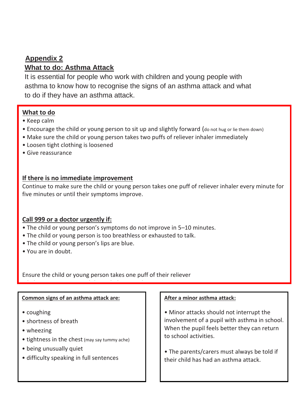## **Appendix 2 What to do: Asthma Attack**

It is essential for people who work with children and young people with asthma to know how to recognise the signs of an asthma attack and what to do if they have an asthma attack.

#### **What to do**

- Keep calm
- Encourage the child or young person to sit up and slightly forward (do not hug or lie them down)
- Make sure the child or young person takes two puffs of reliever inhaler immediately
- Loosen tight clothing is loosened
- Give reassurance

#### **If there is no immediate improvement**

Continue to make sure the child or young person takes one puff of reliever inhaler every minute for five minutes or until their symptoms improve.

#### **Call 999 or a doctor urgently if:**

- The child or young person's symptoms do not improve in 5–10 minutes.
- The child or young person is too breathless or exhausted to talk.
- The child or young person's lips are blue.
- You are in doubt.

Ensure the child or young person takes one puff of their reliever

inhaler every minute until the ambulance or doctor arrives.

#### **Common signs of an asthma attack are:**

- coughing
- shortness of breath
- wheezing
- tightness in the chest (may say tummy ache)
- being unusually quiet
- difficulty speaking in full sentences

#### **After a minor asthma attack:**

• Minor attacks should not interrupt the involvement of a pupil with asthma in school. When the pupil feels better they can return to school activities.

• The parents/carers must always be told if their child has had an asthma attack.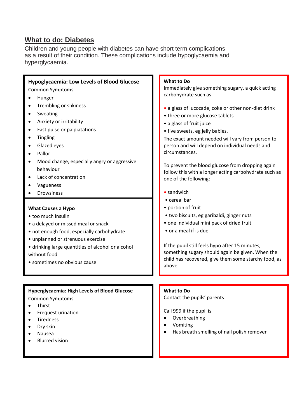## **What to do: Diabetes**

Children and young people with diabetes can have short term complications as a result of their condition. These complications include hypoglycaemia and hyperglycaemia.

| <b>Hypoglycaemia: Low Levels of Blood Glucose</b><br><b>Common Symptoms</b><br>Hunger<br>Trembling or shkiness<br>Sweating<br>Anxiety or irritability<br>Fast pulse or palpiatations<br><b>Tingling</b><br>Glazed eyes<br>Pallor<br>Mood change, especially angry or aggressive<br>behaviour<br>Lack of concentration<br>Vagueness<br>Drowsiness<br><b>What Causes a Hypo</b><br>• too much insulin<br>• a delayed or missed meal or snack<br>• not enough food, especially carbohydrate<br>• unplanned or strenuous exercise<br>· drinking large quantities of alcohol or alcohol | What to Do<br>Immediately give something sugary, a quick acting<br>carbohydrate such as<br>• a glass of lucozade, coke or other non-diet drink<br>• three or more glucose tablets<br>• a glass of fruit juice<br>• five sweets, eg jelly babies.<br>The exact amount needed will vary from person to<br>person and will depend on individual needs and<br>circumstances.<br>To prevent the blood glucose from dropping again<br>follow this with a longer acting carbohydrate such as<br>one of the following:<br>• sandwich<br>• cereal bar<br>• portion of fruit<br>· two biscuits, eg garibaldi, ginger nuts<br>· one individual mini pack of dried fruit<br>• or a meal if is due<br>If the pupil still feels hypo after 15 minutes, |  |  |  |
|------------------------------------------------------------------------------------------------------------------------------------------------------------------------------------------------------------------------------------------------------------------------------------------------------------------------------------------------------------------------------------------------------------------------------------------------------------------------------------------------------------------------------------------------------------------------------------|------------------------------------------------------------------------------------------------------------------------------------------------------------------------------------------------------------------------------------------------------------------------------------------------------------------------------------------------------------------------------------------------------------------------------------------------------------------------------------------------------------------------------------------------------------------------------------------------------------------------------------------------------------------------------------------------------------------------------------------|--|--|--|
| without food<br>• sometimes no obvious cause                                                                                                                                                                                                                                                                                                                                                                                                                                                                                                                                       | something sugary should again be given. When the<br>child has recovered, give them some starchy food, as<br>above.                                                                                                                                                                                                                                                                                                                                                                                                                                                                                                                                                                                                                       |  |  |  |
|                                                                                                                                                                                                                                                                                                                                                                                                                                                                                                                                                                                    |                                                                                                                                                                                                                                                                                                                                                                                                                                                                                                                                                                                                                                                                                                                                          |  |  |  |
| <b>Hyperglycaemia: High Levels of Blood Glucose</b><br>Common Symptoms<br>Thirst<br>Frequest urination<br>Tiredness<br>Dry skin<br>Nausea<br><b>Blurred vision</b>                                                                                                                                                                                                                                                                                                                                                                                                                 | <b>What to Do</b><br>Contact the pupils' parents<br>Call 999 if the pupil is<br>Overbreathing<br>$\bullet$<br>Vomiting<br>Has breath smelling of nail polish remover                                                                                                                                                                                                                                                                                                                                                                                                                                                                                                                                                                     |  |  |  |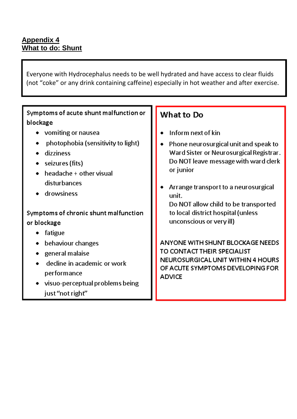## **Appendix 4 What to do: Shunt**

Everyone with Hydrocephalus needs to be well hydrated and have access to clear fluids (not "coke" or any drink containing caffeine) especially in hot weather and after exercise.

## Symptoms of acute shunt malfunction or blockage • vomiting or nausea • photophobia (sensitivity to light) • dizziness  $\bullet$  seizures (fits)  $\bullet$  headache + other visual disturbances • drowsiness Symptoms of chronic shunt malfunction or blockage  $\bullet$  fatigue • behaviour changes  $\bullet$  general malaise · decline in academic or work performance • visuo-perceptual problems being just "not right"

## What to Do

- Inform next of kin
- Phone neurosurgical unit and speak to Ward Sister or Neurosurgical Registrar. Do NOT leave message with ward clerk or junior
- Arrange transport to a neurosurgical unit.

Do NOT allow child to be transported to local district hospital (unless unconscious or very ill)

ANYONE WITH SHUNT BLOCKAGE NEEDS TO CONTACT THEIR SPECIALIST NEUROSURGICAL UNIT WITHIN 4 HOURS OF ACUTE SYMPTOMS DEVELOPING FOR **ADVICE**